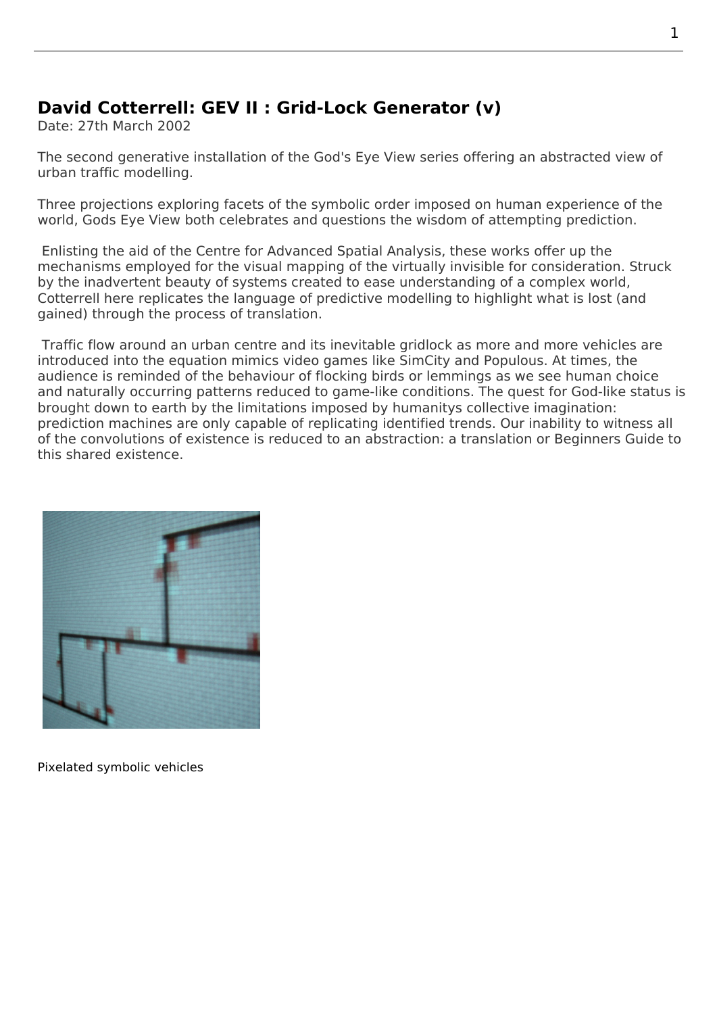## **David Cotterrell: GEV II : Grid-Lock Generator (v)**

Date: 27th March 2002

The second generative installation of the God's Eye View series offering an abstracted view of urban traffic modelling.

Three projections exploring facets of the symbolic order imposed on human experience of the world, Gods Eye View both celebrates and questions the wisdom of attempting prediction.

 Enlisting the aid of the Centre for Advanced Spatial Analysis, these works offer up the mechanisms employed for the visual mapping of the virtually invisible for consideration. Struck by the inadvertent beauty of systems created to ease understanding of a complex world, Cotterrell here replicates the language of predictive modelling to highlight what is lost (and gained) through the process of translation.

 Traffic flow around an urban centre and its inevitable gridlock as more and more vehicles are introduced into the equation mimics video games like SimCity and Populous. At times, the audience is reminded of the behaviour of flocking birds or lemmings as we see human choice and naturally occurring patterns reduced to game-like conditions. The quest for God-like status is brought down to earth by the limitations imposed by humanitys collective imagination: prediction machines are only capable of replicating identified trends. Our inability to witness all of the convolutions of existence is reduced to an abstraction: a translation or Beginners Guide to this shared existence.



Pixelated symbolic vehicles